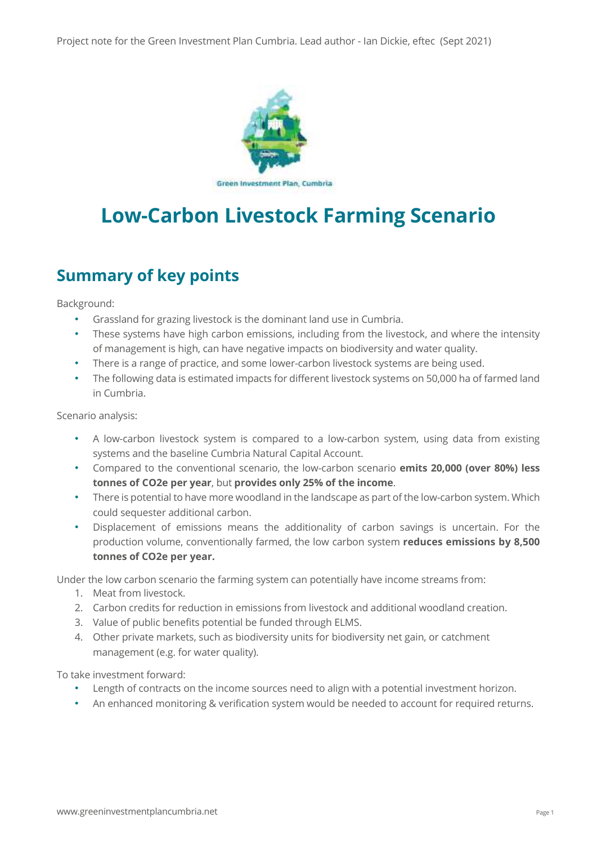Project note for the Green Investment Plan Cumbria. Lead author - Ian Dickie, eftec (Sept 2021)



# **Low-Carbon Livestock Farming Scenario**

# **Summary of key points**

Background:

- Grassland for grazing livestock is the dominant land use in Cumbria.
- These systems have high carbon emissions, including from the livestock, and where the intensity of management is high, can have negative impacts on biodiversity and water quality.
- There is a range of practice, and some lower-carbon livestock systems are being used.
- The following data is estimated impacts for different livestock systems on 50,000 ha of farmed land in Cumbria.

Scenario analysis:

- A low-carbon livestock system is compared to a low-carbon system, using data from existing systems and the baseline Cumbria Natural Capital Account.
- Compared to the conventional scenario, the low-carbon scenario **emits 20,000 (over 80%) less tonnes of CO2e per year**, but **provides only 25% of the income**.
- There is potential to have more woodland in the landscape as part of the low-carbon system. Which could sequester additional carbon.
- Displacement of emissions means the additionality of carbon savings is uncertain. For the production volume, conventionally farmed, the low carbon system **reduces emissions by 8,500 tonnes of CO2e per year.**

Under the low carbon scenario the farming system can potentially have income streams from:

- 1. Meat from livestock.
- 2. Carbon credits for reduction in emissions from livestock and additional woodland creation.
- 3. Value of public benefits potential be funded through ELMS.
- 4. Other private markets, such as biodiversity units for biodiversity net gain, or catchment management (e.g. for water quality).

To take investment forward:

- Length of contracts on the income sources need to align with a potential investment horizon.
- An enhanced monitoring & verification system would be needed to account for required returns.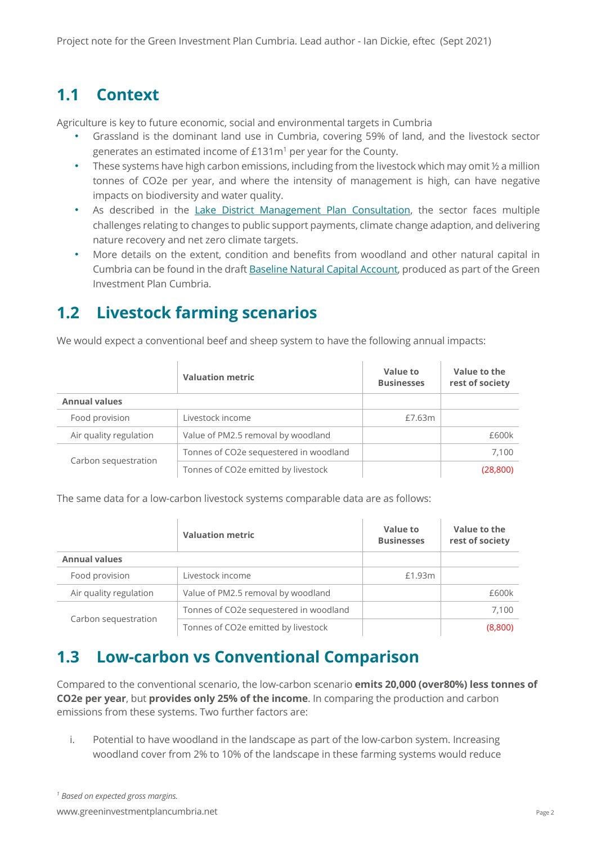#### **1.1 Context**

Agriculture is key to future economic, social and environmental targets in Cumbria

- Grassland is the dominant land use in Cumbria, covering 59% of land, and the livestock sector generates an estimated income of £131m<sup>1</sup> per year for the County.
- These systems have high carbon emissions, including from the livestock which may omit  $\frac{1}{2}$  a million tonnes of CO2e per year, and where the intensity of management is high, can have negative impacts on biodiversity and water quality.
- As described in the Lake District Management Plan Consultation, the sector faces multiple challenges relating to changes to public support payments, climate change adaption, and delivering nature recovery and net zero climate targets.
- More details on the extent, condition and benefits from woodland and other natural capital in Cumbria can be found in the draft Baseline Natural Capital Account, produced as part of the Green Investment Plan Cumbria.

## **1.2 Livestock farming scenarios**

We would expect a conventional beef and sheep system to have the following annual impacts:

|                        | <b>Valuation metric</b>                | Value to<br><b>Businesses</b> | Value to the<br>rest of society |
|------------------------|----------------------------------------|-------------------------------|---------------------------------|
| <b>Annual values</b>   |                                        |                               |                                 |
| Food provision         | Livestock income                       | £7.63m                        |                                 |
| Air quality regulation | Value of PM2.5 removal by woodland     |                               | £600k                           |
| Carbon sequestration   | Tonnes of CO2e sequestered in woodland |                               | 7,100                           |
|                        | Tonnes of CO2e emitted by livestock    |                               | (28, 800)                       |

The same data for a low-carbon livestock systems comparable data are as follows:

|                        | <b>Valuation metric</b>                | Value to<br><b>Businesses</b> | Value to the<br>rest of society |
|------------------------|----------------------------------------|-------------------------------|---------------------------------|
| <b>Annual values</b>   |                                        |                               |                                 |
| Food provision         | Livestock income                       | £1.93m                        |                                 |
| Air quality regulation | Value of PM2.5 removal by woodland     |                               | £600k                           |
| Carbon sequestration   | Tonnes of CO2e sequestered in woodland |                               | 7.100                           |
|                        | Tonnes of CO2e emitted by livestock    |                               | (8,800)                         |

#### **1.3 Low-carbon vs Conventional Comparison**

Compared to the conventional scenario, the low-carbon scenario **emits 20,000 (over80%) less tonnes of CO2e per year**, but **provides only 25% of the income**. In comparing the production and carbon emissions from these systems. Two further factors are:

i. Potential to have woodland in the landscape as part of the low-carbon system. Increasing woodland cover from 2% to 10% of the landscape in these farming systems would reduce